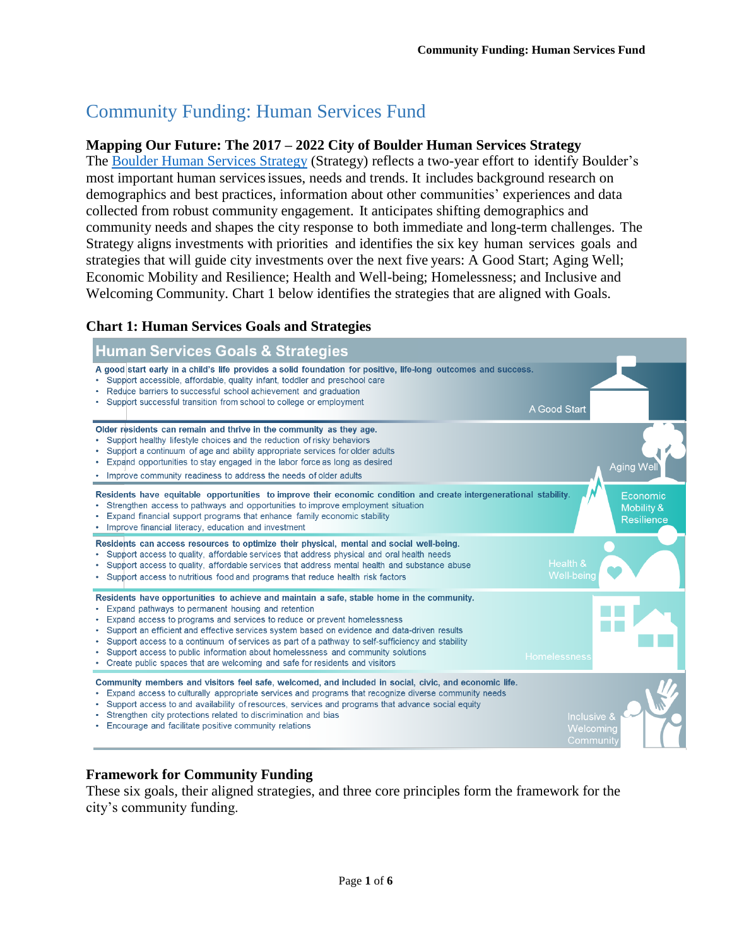# Community Funding: Human Services Fund

#### **Mapping Our Future: The 2017 – 2022 City of Boulder Human Services Strategy**

The [Boulder Human Services Strategy](https://bouldercolorado.gov/human-services-plan/human-services-strategy) (Strategy) reflects a two-year effort to identify Boulder's most important human servicesissues, needs and trends. It includes background research on demographics and best practices, information about other communities' experiences and data collected from robust community engagement. It anticipates shifting demographics and community needs and shapes the city response to both immediate and long-term challenges. The Strategy aligns investments with priorities and identifies the six key human services goals and strategies that will guide city investments over the next five years: A Good Start; Aging Well; Economic Mobility and Resilience; Health and Well-being; Homelessness; and Inclusive and Welcoming Community. Chart 1 below identifies the strategies that are aligned with Goals.

## **Chart 1: Human Services Goals and Strategies**



## **Framework for Community Funding**

These six goals, their aligned strategies, and three core principles form the framework for the city's community funding.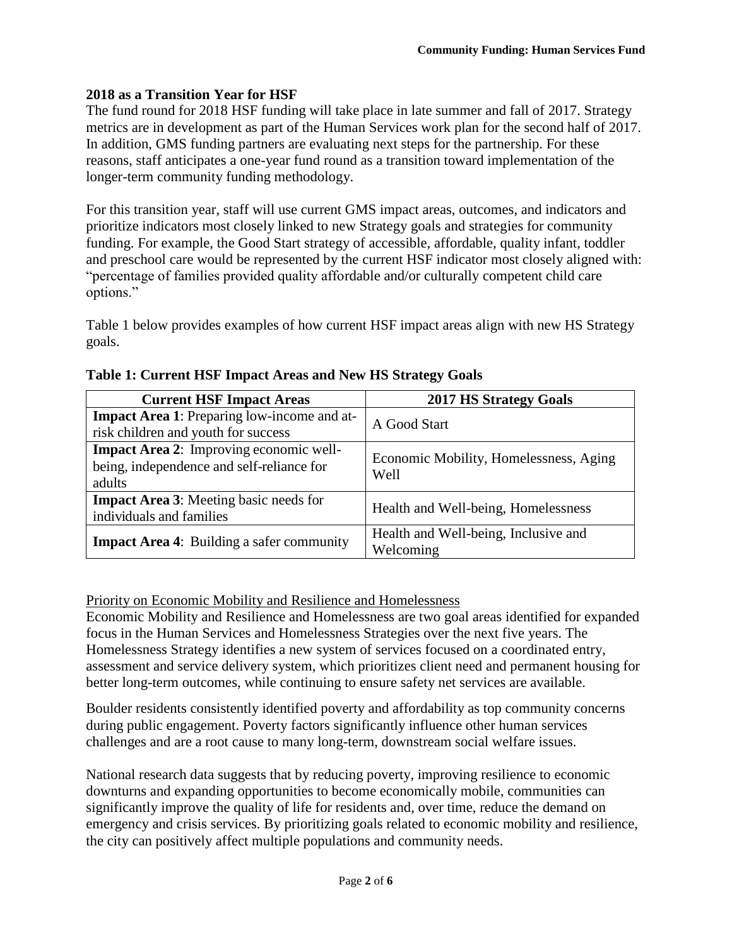## **2018 as a Transition Year for HSF**

The fund round for 2018 HSF funding will take place in late summer and fall of 2017. Strategy metrics are in development as part of the Human Services work plan for the second half of 2017. In addition, GMS funding partners are evaluating next steps for the partnership. For these reasons, staff anticipates a one-year fund round as a transition toward implementation of the longer-term community funding methodology.

For this transition year, staff will use current GMS impact areas, outcomes, and indicators and prioritize indicators most closely linked to new Strategy goals and strategies for community funding. For example, the Good Start strategy of accessible, affordable, quality infant, toddler and preschool care would be represented by the current HSF indicator most closely aligned with: "percentage of families provided quality affordable and/or culturally competent child care options."

Table 1 below provides examples of how current HSF impact areas align with new HS Strategy goals.

| <b>Current HSF Impact Areas</b>                                                                       | <b>2017 HS Strategy Goals</b>                     |
|-------------------------------------------------------------------------------------------------------|---------------------------------------------------|
| <b>Impact Area 1:</b> Preparing low-income and at-<br>risk children and youth for success             | A Good Start                                      |
| <b>Impact Area 2:</b> Improving economic well-<br>being, independence and self-reliance for<br>adults | Economic Mobility, Homelessness, Aging<br>Well    |
| <b>Impact Area 3:</b> Meeting basic needs for<br>individuals and families                             | Health and Well-being, Homelessness               |
| <b>Impact Area 4:</b> Building a safer community                                                      | Health and Well-being, Inclusive and<br>Welcoming |

#### **Table 1: Current HSF Impact Areas and New HS Strategy Goals**

## Priority on Economic Mobility and Resilience and Homelessness

Economic Mobility and Resilience and Homelessness are two goal areas identified for expanded focus in the Human Services and Homelessness Strategies over the next five years. The Homelessness Strategy identifies a new system of services focused on a coordinated entry, assessment and service delivery system, which prioritizes client need and permanent housing for better long-term outcomes, while continuing to ensure safety net services are available.

Boulder residents consistently identified poverty and affordability as top community concerns during public engagement. Poverty factors significantly influence other human services challenges and are a root cause to many long-term, downstream social welfare issues.

National research data suggests that by reducing poverty, improving resilience to economic downturns and expanding opportunities to become economically mobile, communities can significantly improve the quality of life for residents and, over time, reduce the demand on emergency and crisis services. By prioritizing goals related to economic mobility and resilience, the city can positively affect multiple populations and community needs.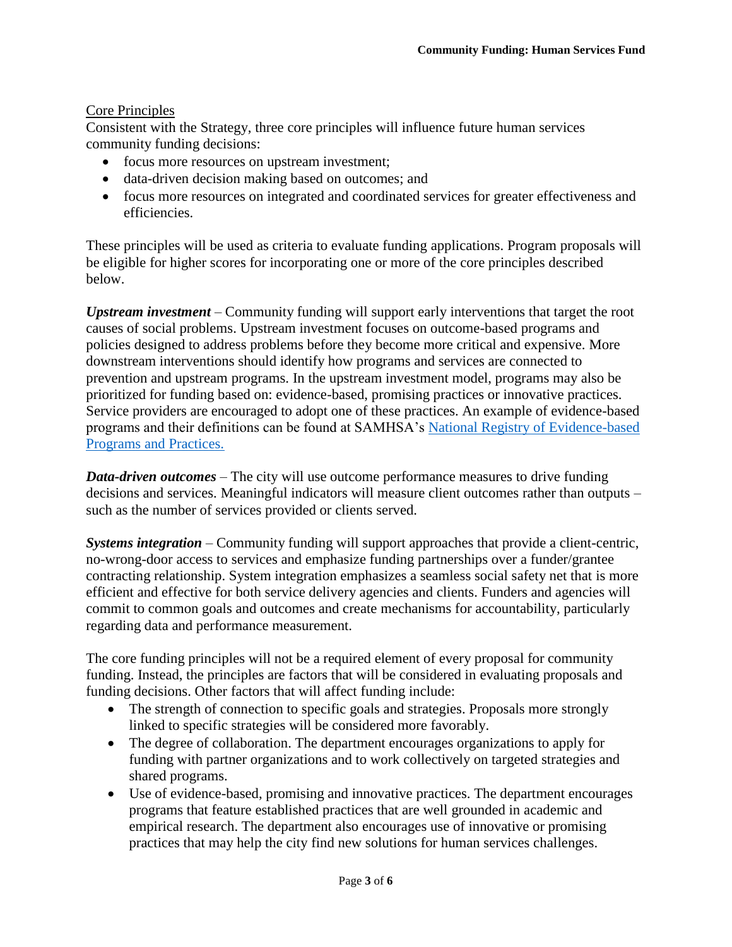## Core Principles

Consistent with the Strategy, three core principles will influence future human services community funding decisions:

- focus more resources on upstream investment;
- data-driven decision making based on outcomes; and
- focus more resources on integrated and coordinated services for greater effectiveness and efficiencies.

These principles will be used as criteria to evaluate funding applications. Program proposals will be eligible for higher scores for incorporating one or more of the core principles described below.

*Upstream investment* – Community funding will support early interventions that target the root causes of social problems. Upstream investment focuses on outcome-based programs and policies designed to address problems before they become more critical and expensive. More downstream interventions should identify how programs and services are connected to prevention and upstream programs. In the upstream investment model, programs may also be prioritized for funding based on: evidence-based, promising practices or innovative practices. Service providers are encouraged to adopt one of these practices. An example of evidence-based programs and their definitions can be found at SAMHSA's [National Registry of Evidence-based](http://www.nrepp.samhsa.gov/about.aspx)  [Programs and Practices.](http://www.nrepp.samhsa.gov/about.aspx)

*Data-driven outcomes* – The city will use outcome performance measures to drive funding decisions and services. Meaningful indicators will measure client outcomes rather than outputs – such as the number of services provided or clients served.

*Systems integration* – Community funding will support approaches that provide a client-centric, no-wrong-door access to services and emphasize funding partnerships over a funder/grantee contracting relationship. System integration emphasizes a seamless social safety net that is more efficient and effective for both service delivery agencies and clients. Funders and agencies will commit to common goals and outcomes and create mechanisms for accountability, particularly regarding data and performance measurement.

The core funding principles will not be a required element of every proposal for community funding. Instead, the principles are factors that will be considered in evaluating proposals and funding decisions. Other factors that will affect funding include:

- The strength of connection to specific goals and strategies. Proposals more strongly linked to specific strategies will be considered more favorably.
- The degree of collaboration. The department encourages organizations to apply for funding with partner organizations and to work collectively on targeted strategies and shared programs.
- Use of evidence-based, promising and innovative practices. The department encourages programs that feature established practices that are well grounded in academic and empirical research. The department also encourages use of innovative or promising practices that may help the city find new solutions for human services challenges.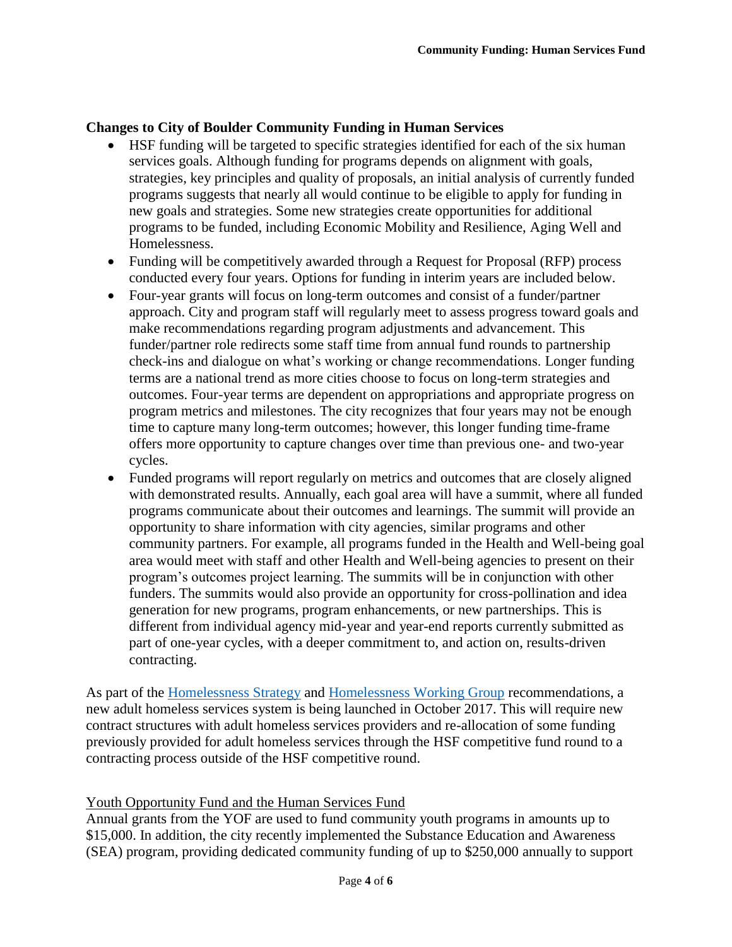## **Changes to City of Boulder Community Funding in Human Services**

- HSF funding will be targeted to specific strategies identified for each of the six human services goals. Although funding for programs depends on alignment with goals, strategies, key principles and quality of proposals, an initial analysis of currently funded programs suggests that nearly all would continue to be eligible to apply for funding in new goals and strategies. Some new strategies create opportunities for additional programs to be funded, including Economic Mobility and Resilience, Aging Well and Homelessness.
- Funding will be competitively awarded through a Request for Proposal (RFP) process conducted every four years. Options for funding in interim years are included below.
- Four-year grants will focus on long-term outcomes and consist of a funder/partner approach. City and program staff will regularly meet to assess progress toward goals and make recommendations regarding program adjustments and advancement. This funder/partner role redirects some staff time from annual fund rounds to partnership check-ins and dialogue on what's working or change recommendations. Longer funding terms are a national trend as more cities choose to focus on long-term strategies and outcomes. Four-year terms are dependent on appropriations and appropriate progress on program metrics and milestones. The city recognizes that four years may not be enough time to capture many long-term outcomes; however, this longer funding time-frame offers more opportunity to capture changes over time than previous one- and two-year cycles.
- Funded programs will report regularly on metrics and outcomes that are closely aligned with demonstrated results. Annually, each goal area will have a summit, where all funded programs communicate about their outcomes and learnings. The summit will provide an opportunity to share information with city agencies, similar programs and other community partners. For example, all programs funded in the Health and Well-being goal area would meet with staff and other Health and Well-being agencies to present on their program's outcomes project learning. The summits will be in conjunction with other funders. The summits would also provide an opportunity for cross-pollination and idea generation for new programs, program enhancements, or new partnerships. This is different from individual agency mid-year and year-end reports currently submitted as part of one-year cycles, with a deeper commitment to, and action on, results-driven contracting.

As part of the [Homelessness Strategy](https://bouldercolorado.gov/homelessness/homeless-working-group) and [Homelessness Working Group](https://bouldercolorado.gov/homelessness/homeless-working-group) recommendations, a new adult homeless services system is being launched in October 2017. This will require new contract structures with adult homeless services providers and re-allocation of some funding previously provided for adult homeless services through the HSF competitive fund round to a contracting process outside of the HSF competitive round.

## Youth Opportunity Fund and the Human Services Fund

Annual grants from the YOF are used to fund community youth programs in amounts up to \$15,000. In addition, the city recently implemented the Substance Education and Awareness (SEA) program, providing dedicated community funding of up to \$250,000 annually to support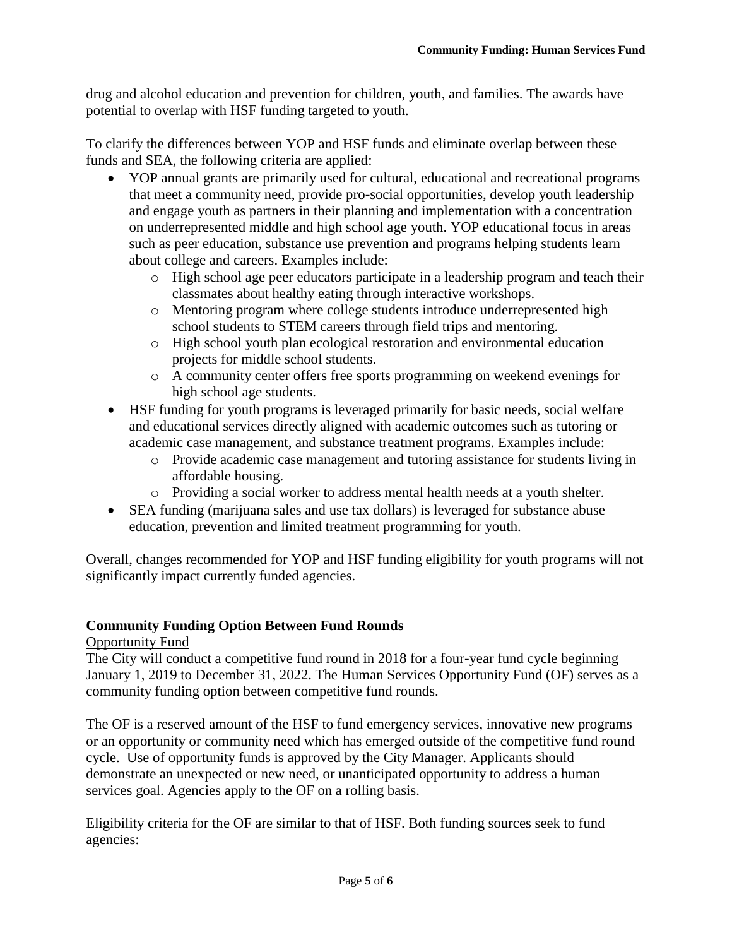drug and alcohol education and prevention for children, youth, and families. The awards have potential to overlap with HSF funding targeted to youth.

To clarify the differences between YOP and HSF funds and eliminate overlap between these funds and SEA, the following criteria are applied:

- YOP annual grants are primarily used for cultural, educational and recreational programs that meet a community need, provide pro-social opportunities, develop youth leadership and engage youth as partners in their planning and implementation with a concentration on underrepresented middle and high school age youth. YOP educational focus in areas such as peer education, substance use prevention and programs helping students learn about college and careers. Examples include:
	- o High school age peer educators participate in a leadership program and teach their classmates about healthy eating through interactive workshops.
	- o Mentoring program where college students introduce underrepresented high school students to STEM careers through field trips and mentoring.
	- o High school youth plan ecological restoration and environmental education projects for middle school students.
	- o A community center offers free sports programming on weekend evenings for high school age students.
- HSF funding for youth programs is leveraged primarily for basic needs, social welfare and educational services directly aligned with academic outcomes such as tutoring or academic case management, and substance treatment programs. Examples include:
	- o Provide academic case management and tutoring assistance for students living in affordable housing.
	- o Providing a social worker to address mental health needs at a youth shelter.
- SEA funding (marijuana sales and use tax dollars) is leveraged for substance abuse education, prevention and limited treatment programming for youth.

Overall, changes recommended for YOP and HSF funding eligibility for youth programs will not significantly impact currently funded agencies.

## **Community Funding Option Between Fund Rounds**

## Opportunity Fund

The City will conduct a competitive fund round in 2018 for a four-year fund cycle beginning January 1, 2019 to December 31, 2022. The Human Services Opportunity Fund (OF) serves as a community funding option between competitive fund rounds.

The OF is a reserved amount of the HSF to fund emergency services, innovative new programs or an opportunity or community need which has emerged outside of the competitive fund round cycle. Use of opportunity funds is approved by the City Manager. Applicants should demonstrate an unexpected or new need, or unanticipated opportunity to address a human services goal. Agencies apply to the OF on a rolling basis.

Eligibility criteria for the OF are similar to that of HSF. Both funding sources seek to fund agencies: